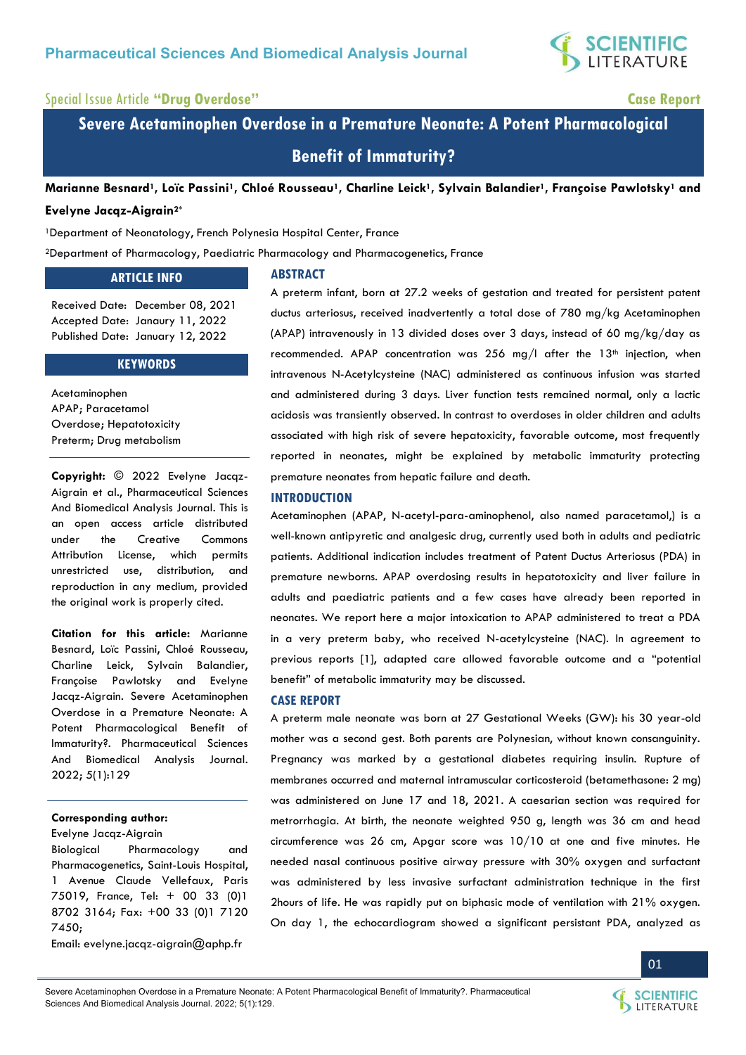

## Special Issue Article **"Drug Overdose" Case Report**

**Severe Acetaminophen Overdose in a Premature Neonate: A Potent Pharmacological Benefit of Immaturity?** 

**Marianne Besnard1, Loïc Passini1, Chloé Rousseau1, Charline Leick1, Sylvain Balandier1, Françoise Pawlotsky1 and Evelyne Jacqz-Aigrain2\***

# <sup>1</sup>Department of Neonatology, French Polynesia Hospital Center, France

<sup>2</sup>Department of Pharmacology, Paediatric Pharmacology and Pharmacogenetics, France

### **ARTICLE INFO**

Received Date: December 08, 2021 Accepted Date: Janaury 11, 2022 Published Date: January 12, 2022

#### **KEYWORDS**

Acetaminophen APAP; Paracetamol Overdose; Hepatotoxicity Preterm; Drug metabolism

**Copyright:** © 2022 Evelyne Jacqz-Aigrain et al., Pharmaceutical Sciences And Biomedical Analysis Journal. This is an open access article distributed under the Creative Commons Attribution License, which permits unrestricted use, distribution, and reproduction in any medium, provided the original work is properly cited.

**Citation for this article:** Marianne Besnard, Loïc Passini, Chloé Rousseau, Charline Leick, Sylvain Balandier, Françoise Pawlotsky and Evelyne Jacqz-Aigrain. Severe Acetaminophen Overdose in a Premature Neonate: A Potent Pharmacological Benefit of Immaturity?. Pharmaceutical Sciences And Biomedical Analysis Journal. 2022; 5(1):129

#### **Corresponding author:**

Evelyne Jacqz-Aigrain

Biological Pharmacology and Pharmacogenetics, Saint-Louis Hospital, 1 Avenue Claude Vellefaux, Paris 75019, France, Tel: + 00 33 (0)1 8702 3164; Fax: +00 33 (0)1 7120 7450;

Email: [evelyne.jacqz-aigrain@aphp.fr](mailto:evelyne.jacqz-aigrain@aphp.fr) 

**ABSTRACT**

A preterm infant, born at 27.2 weeks of gestation and treated for persistent patent ductus arteriosus, received inadvertently a total dose of 780 mg/kg Acetaminophen (APAP) intravenously in 13 divided doses over 3 days, instead of 60 mg/kg/day as recommended. APAP concentration was  $256$  mg/l after the  $13<sup>th</sup>$  injection, when intravenous N-Acetylcysteine (NAC) administered as continuous infusion was started and administered during 3 days. Liver function tests remained normal, only a lactic acidosis was transiently observed. In contrast to overdoses in older children and adults associated with high risk of severe hepatoxicity, favorable outcome, most frequently reported in neonates, might be explained by metabolic immaturity protecting premature neonates from hepatic failure and death.

#### **INTRODUCTION**

Acetaminophen (APAP, N-acetyl-para-aminophenol, also named paracetamol,) is a well-known antipyretic and analgesic drug, currently used both in adults and pediatric patients. Additional indication includes treatment of Patent Ductus Arteriosus (PDA) in premature newborns. APAP overdosing results in hepatotoxicity and liver failure in adults and paediatric patients and a few cases have already been reported in neonates. We report here a major intoxication to APAP administered to treat a PDA in a very preterm baby, who received N-acetylcysteine (NAC). In agreement to previous reports [1], adapted care allowed favorable outcome and a "potential benefit" of metabolic immaturity may be discussed.

#### **CASE REPORT**

A preterm male neonate was born at 27 Gestational Weeks (GW): his 30 year-old mother was a second gest. Both parents are Polynesian, without known consanguinity. Pregnancy was marked by a gestational diabetes requiring insulin. Rupture of membranes occurred and maternal intramuscular corticosteroid (betamethasone: 2 mg) was administered on June 17 and 18, 2021. A caesarian section was required for metrorrhagia. At birth, the neonate weighted 950 g, length was 36 cm and head circumference was 26 cm, Apgar score was 10/10 at one and five minutes. He needed nasal continuous positive airway pressure with 30% oxygen and surfactant was administered by less invasive surfactant administration technique in the first 2hours of life. He was rapidly put on biphasic mode of ventilation with 21% oxygen. On day 1, the echocardiogram showed a significant persistant PDA, analyzed as





01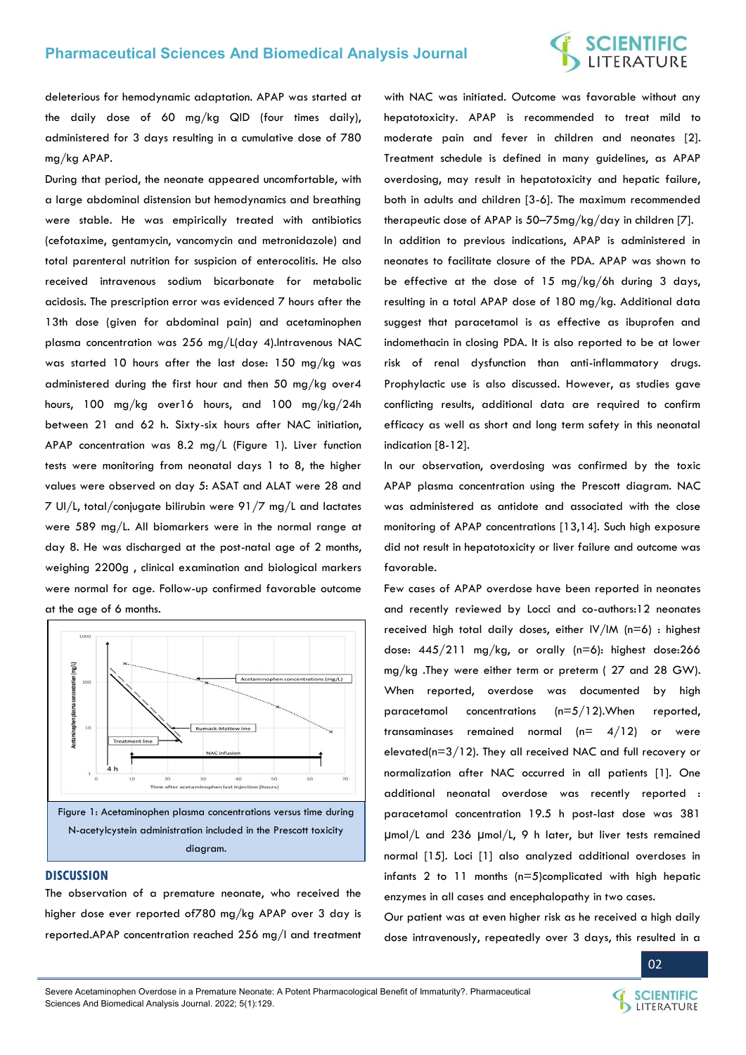deleterious for hemodynamic adaptation. APAP was started at the daily dose of 60 mg/kg QID (four times daily), administered for 3 days resulting in a cumulative dose of 780 mg/kg APAP.

During that period, the neonate appeared uncomfortable, with a large abdominal distension but hemodynamics and breathing were stable. He was empirically treated with antibiotics (cefotaxime, gentamycin, vancomycin and metronidazole) and total parenteral nutrition for suspicion of enterocolitis. He also received intravenous sodium bicarbonate for metabolic acidosis. The prescription error was evidenced 7 hours after the 13th dose (given for abdominal pain) and acetaminophen plasma concentration was 256 mg/L(day 4).Intravenous NAC was started 10 hours after the last dose: 150 mg/kg was administered during the first hour and then 50 mg/kg over4 hours, 100 mg/kg over16 hours, and 100 mg/kg/24h between 21 and 62 h. Sixty-six hours after NAC initiation, APAP concentration was 8.2 mg/L (Figure 1). Liver function tests were monitoring from neonatal days 1 to 8, the higher values were observed on day 5: ASAT and ALAT were 28 and 7 UI/L, total/conjugate bilirubin were 91/7 mg/L and lactates were 589 mg/L. All biomarkers were in the normal range at day 8. He was discharged at the post-natal age of 2 months, weighing 2200g , clinical examination and biological markers were normal for age. Follow-up confirmed favorable outcome at the age of 6 months.



#### **DISCUSSION**

The observation of a premature neonate, who received the higher dose ever reported of780 mg/kg APAP over 3 day is reported.APAP concentration reached 256 mg/l and treatment

with NAC was initiated. Outcome was favorable without any hepatotoxicity. APAP is recommended to treat mild to moderate pain and fever in children and neonates [2]. Treatment schedule is defined in many guidelines, as APAP overdosing, may result in hepatotoxicity and hepatic failure, both in adults and children [3-6]. The maximum recommended therapeutic dose of APAP is 50–75mg/kg/day in children [7]. In addition to previous indications, APAP is administered in neonates to facilitate closure of the PDA. APAP was shown to be effective at the dose of 15 mg/kg/6h during 3 days, resulting in a total APAP dose of 180 mg/kg. Additional data suggest that paracetamol is as effective as ibuprofen and indomethacin in closing PDA. It is also reported to be at lower risk of renal dysfunction than anti-inflammatory drugs. Prophylactic use is also discussed. However, as studies gave conflicting results, additional data are required to confirm efficacy as well as short and long term safety in this neonatal indication [8-12].

In our observation, overdosing was confirmed by the toxic APAP plasma concentration using the Prescott diagram. NAC was administered as antidote and associated with the close monitoring of APAP concentrations [13,14]. Such high exposure did not result in hepatotoxicity or liver failure and outcome was favorable.

Few cases of APAP overdose have been reported in neonates and recently reviewed by Locci and co-authors:12 neonates received high total daily doses, either IV/IM (n=6) : highest dose: 445/211 mg/kg, or orally (n=6): highest dose:266 mg/kg .They were either term or preterm ( 27 and 28 GW). When reported, overdose was documented by high paracetamol concentrations (n=5/12).When reported, transaminases remained normal  $(n= 4/12)$  or were elevated(n=3/12). They all received NAC and full recovery or normalization after NAC occurred in all patients [1]. One additional neonatal overdose was recently reported : paracetamol concentration 19.5 h post-last dose was 381 μmol/L and 236 μmol/L, 9 h later, but liver tests remained normal [15]. Loci [1] also analyzed additional overdoses in infants 2 to 11 months (n=5)complicated with high hepatic enzymes in all cases and encephalopathy in two cases.

Our patient was at even higher risk as he received a high daily dose intravenously, repeatedly over 3 days, this resulted in a



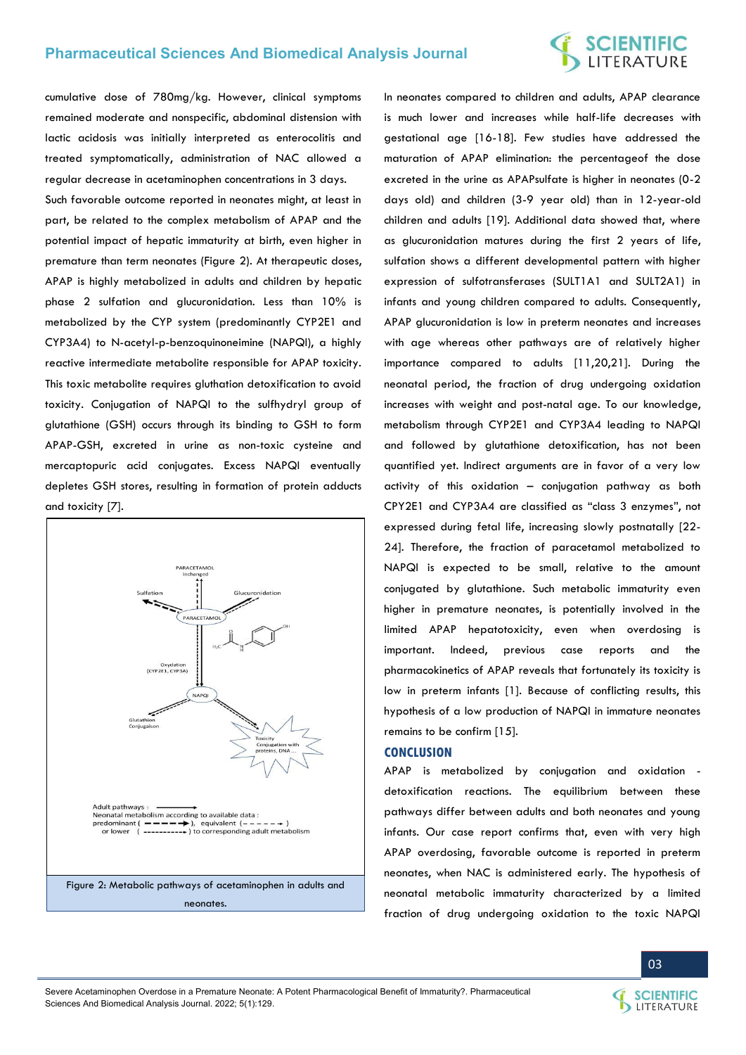cumulative dose of 780mg/kg. However, clinical symptoms remained moderate and nonspecific, abdominal distension with lactic acidosis was initially interpreted as enterocolitis and treated symptomatically, administration of NAC allowed a regular decrease in acetaminophen concentrations in 3 days.

Such favorable outcome reported in neonates might, at least in part, be related to the complex metabolism of APAP and the potential impact of hepatic immaturity at birth, even higher in premature than term neonates (Figure 2). At therapeutic doses, APAP is highly metabolized in adults and children by hepatic phase 2 sulfation and glucuronidation. Less than 10% is metabolized by the CYP system (predominantly CYP2E1 and CYP3A4) to N-acetyl-p-benzoquinoneimine (NAPQI), a highly reactive intermediate metabolite responsible for APAP toxicity. This toxic metabolite requires gluthation detoxification to avoid toxicity. Conjugation of NAPQI to the sulfhydryl group of glutathione (GSH) occurs through its binding to GSH to form APAP-GSH, excreted in urine as non-toxic cysteine and mercaptopuric acid conjugates. Excess NAPQI eventually depletes GSH stores, resulting in formation of protein adducts and toxicity [7].



In neonates compared to children and adults, APAP clearance is much lower and increases while half-life decreases with gestational age [16-18]. Few studies have addressed the maturation of APAP elimination: the percentageof the dose excreted in the urine as APAPsulfate is higher in neonates (0-2 days old) and children (3-9 year old) than in 12-year-old children and adults [19]. Additional data showed that, where as glucuronidation matures during the first 2 years of life, sulfation shows a different developmental pattern with higher expression of sulfotransferases (SULT1A1 and SULT2A1) in infants and young children compared to adults. Consequently, APAP glucuronidation is low in preterm neonates and increases with age whereas other pathways are of relatively higher importance compared to adults [11,20,21]. During the neonatal period, the fraction of drug undergoing oxidation increases with weight and post-natal age. To our knowledge, metabolism through CYP2E1 and CYP3A4 leading to NAPQI and followed by glutathione detoxification, has not been quantified yet. Indirect arguments are in favor of a very low activity of this oxidation – conjugation pathway as both CPY2E1 and CYP3A4 are classified as "class 3 enzymes", not expressed during fetal life, increasing slowly postnatally [22- 24]. Therefore, the fraction of paracetamol metabolized to NAPQI is expected to be small, relative to the amount conjugated by glutathione. Such metabolic immaturity even higher in premature neonates, is potentially involved in the limited APAP hepatotoxicity, even when overdosing is important. Indeed, previous case reports and the pharmacokinetics of APAP reveals that fortunately its toxicity is low in preterm infants [1]. Because of conflicting results, this hypothesis of a low production of NAPQI in immature neonates remains to be confirm [15].

#### **CONCLUSION**

APAP is metabolized by conjugation and oxidation detoxification reactions. The equilibrium between these pathways differ between adults and both neonates and young infants. Our case report confirms that, even with very high APAP overdosing, favorable outcome is reported in preterm neonates, when NAC is administered early. The hypothesis of neonatal metabolic immaturity characterized by a limited fraction of drug undergoing oxidation to the toxic NAPQI